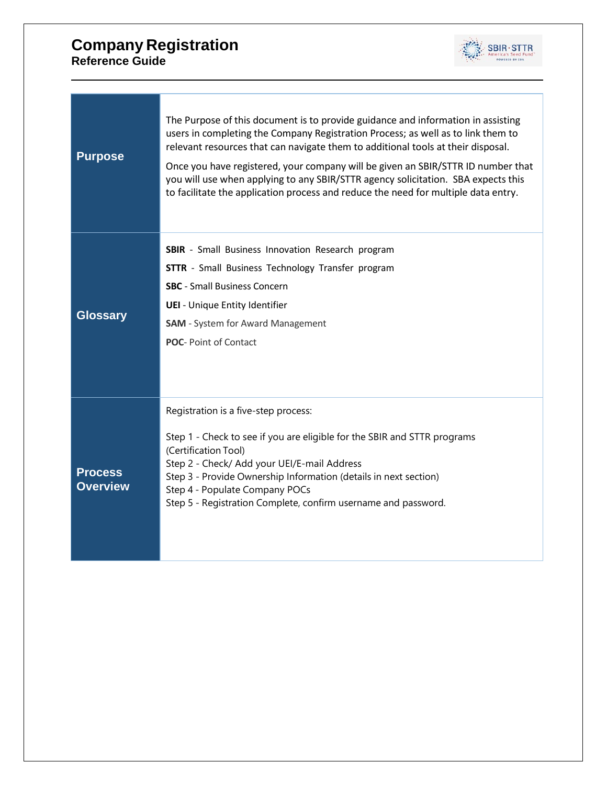

| <b>SBIR</b> - Small Business Innovation Research program<br><b>STTR</b> - Small Business Technology Transfer program<br><b>SBC</b> - Small Business Concern<br><b>UEI</b> - Unique Entity Identifier<br><b>Glossary</b><br><b>SAM</b> - System for Award Management<br><b>POC-Point of Contact</b><br>Registration is a five-step process:<br>Step 1 - Check to see if you are eligible for the SBIR and STTR programs<br>(Certification Tool)<br>Step 2 - Check/ Add your UEI/E-mail Address |
|-----------------------------------------------------------------------------------------------------------------------------------------------------------------------------------------------------------------------------------------------------------------------------------------------------------------------------------------------------------------------------------------------------------------------------------------------------------------------------------------------|
|                                                                                                                                                                                                                                                                                                                                                                                                                                                                                               |
|                                                                                                                                                                                                                                                                                                                                                                                                                                                                                               |
|                                                                                                                                                                                                                                                                                                                                                                                                                                                                                               |
|                                                                                                                                                                                                                                                                                                                                                                                                                                                                                               |
|                                                                                                                                                                                                                                                                                                                                                                                                                                                                                               |
|                                                                                                                                                                                                                                                                                                                                                                                                                                                                                               |
|                                                                                                                                                                                                                                                                                                                                                                                                                                                                                               |
|                                                                                                                                                                                                                                                                                                                                                                                                                                                                                               |
|                                                                                                                                                                                                                                                                                                                                                                                                                                                                                               |
|                                                                                                                                                                                                                                                                                                                                                                                                                                                                                               |
| <b>Process</b><br>Step 3 - Provide Ownership Information (details in next section)<br><b>Overview</b>                                                                                                                                                                                                                                                                                                                                                                                         |
| Step 4 - Populate Company POCs<br>Step 5 - Registration Complete, confirm username and password.                                                                                                                                                                                                                                                                                                                                                                                              |
|                                                                                                                                                                                                                                                                                                                                                                                                                                                                                               |
|                                                                                                                                                                                                                                                                                                                                                                                                                                                                                               |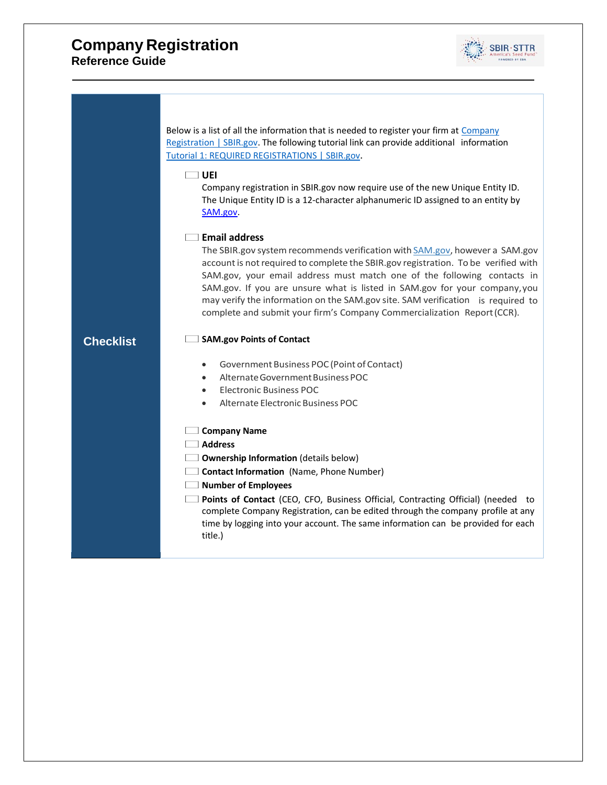

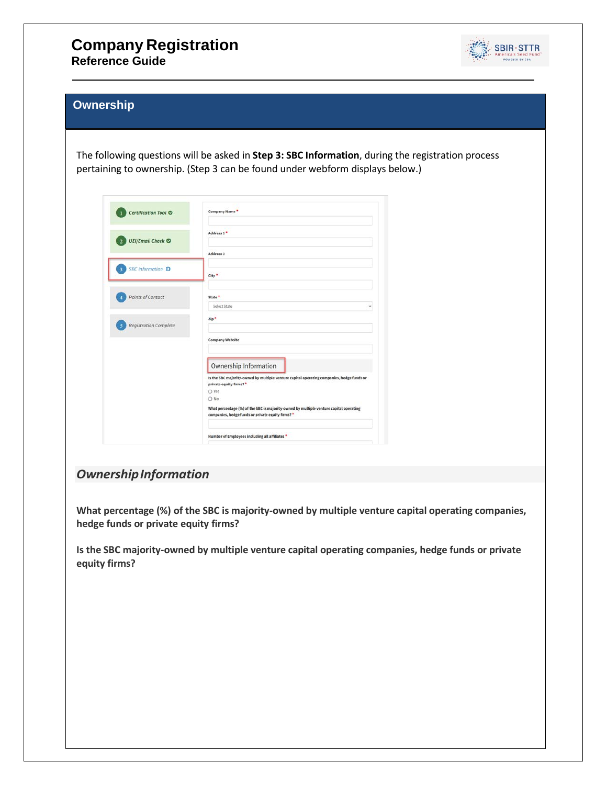# **Company Registration**

**Reference Guide**



#### **Ownership**

The following questions will be asked in **Step 3: SBC Information**, during the registration process pertaining to ownership. (Step 3 can be found under webform displays below.)

| Certification Tool <sup>O</sup>                          | Company Name*                                                                                                                               |
|----------------------------------------------------------|---------------------------------------------------------------------------------------------------------------------------------------------|
| <b>UEI/Email Check ©</b>                                 | Address 1 *                                                                                                                                 |
|                                                          | Address 2                                                                                                                                   |
| <b>SBC</b> Information O<br>A                            | City *                                                                                                                                      |
| Points of Contact                                        | State <sup>*</sup><br><b>Select State</b>                                                                                                   |
| <b>Registration Complete</b><br>$\overline{\phantom{a}}$ | Zip <sup>+</sup>                                                                                                                            |
|                                                          | <b>Company Website</b>                                                                                                                      |
|                                                          | Ownership Information                                                                                                                       |
|                                                          | Is the SBC majority-owned by multiple venture capital operating companies, hedge funds or<br>private equity firms? *                        |
|                                                          | O Yes<br>O No.                                                                                                                              |
|                                                          | What percentage (%) of the SBC is majority-owned by multiple venture capital operating<br>companies, hedge funds or private equity firms? * |
|                                                          | Number of Employees including all affiliates *                                                                                              |

#### *OwnershipInformation*

**What percentage (%) of the SBC is majority-owned by multiple venture capital operating companies, hedge funds or private equity firms?**

**Is the SBC majority-owned by multiple venture capital operating companies, hedge funds or private equity firms?**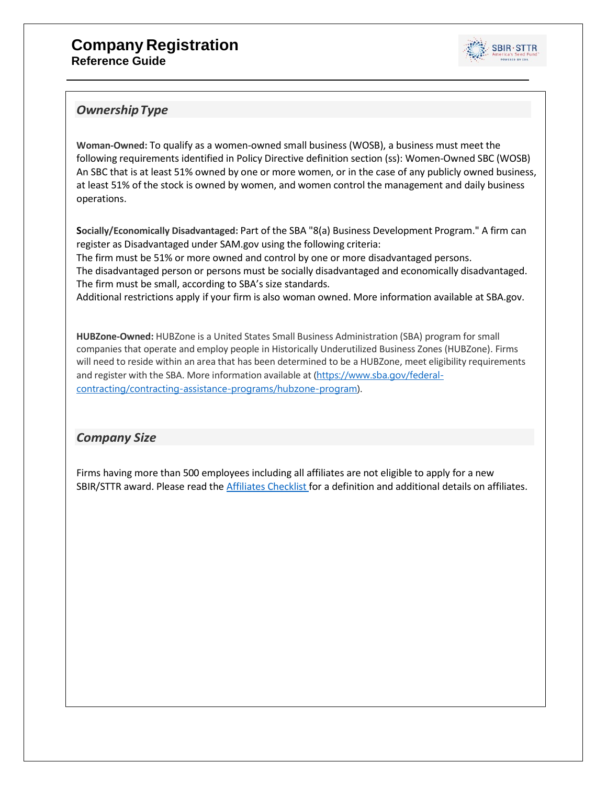

#### *OwnershipType*

**Woman-Owned:** To qualify as a women-owned small business (WOSB), a business must meet the following requirements identified in Policy Directive definition section (ss): Women-Owned SBC (WOSB) An SBC that is at least 51% owned by one or more women, or in the case of any publicly owned business, at least 51% of the stock is owned by women, and women control the management and daily business operations.

**Socially/Economically Disadvantaged:** Part of the SBA "8(a) Business Development Program." A firm can register as Disadvantaged under SAM.gov using the following criteria:

The firm must be 51% or more owned and control by one or more disadvantaged persons. The disadvantaged person or persons must be socially disadvantaged and economically disadvantaged. The firm must be small, according to SBA's size standards.

Additional restrictions apply if your firm is also woman owned. More information available at SBA.gov.

**HUBZone-Owned:** HUBZone is a United States Small Business Administration (SBA) program for small companies that operate and employ people in Historically Underutilized Business Zones (HUBZone). Firms will need to reside within an area that has been determined to be a HUBZone, meet eligibility requirements and register with the SBA. More information available at [\(https://www.sba.gov/federal](https://www.sba.gov/federal-contracting/contracting-assistance-programs/hubzone-program)[contracting/contracting-assistance-programs/hubzone-program\)](https://www.sba.gov/federal-contracting/contracting-assistance-programs/hubzone-program).

#### *Company Size*

Firms having more than 500 employees including all affiliates are not eligible to apply for a new SBIR/STTR award. Please read the Affiliates [Checklist f](https://www.sbir.gov/affiliation)or a definition and additional details on affiliates.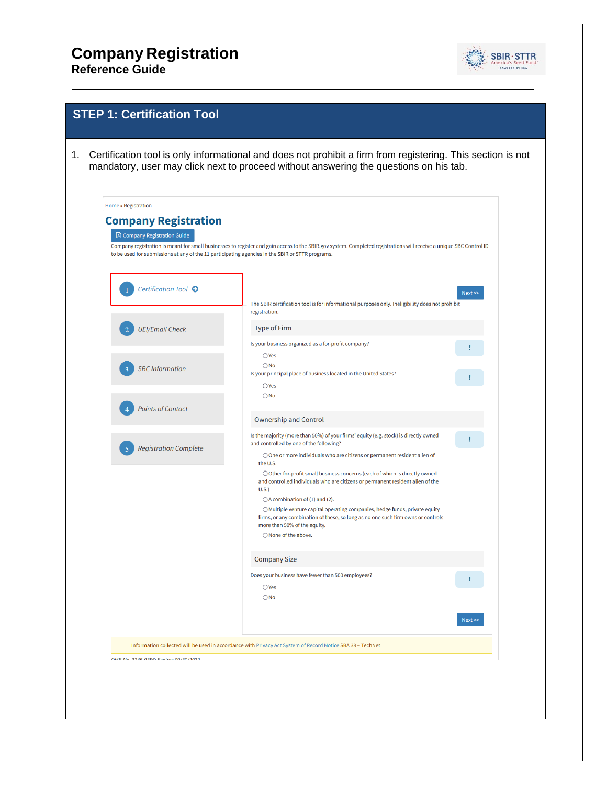## **Company Registration**

**Reference Guide**



| <b>Company Registration</b><br><b>A</b> Company Registration Guide<br>Company registration is meant for small businesses to register and gain access to the SBIR.gov system. Completed registrations will receive a unique SBC Control ID<br>to be used for submissions at any of the 11 participating agencies in the SBIR or STTR programs.<br>Certification Tool <sup>O</sup><br>The SBIR certification tool is for informational purposes only. Ineligibility does not prohibit<br>registration.<br><b>Type of Firm</b><br><b>UEI/Email Check</b><br>Is your business organized as a for-profit company?<br>$\bigcirc$ Yes<br>$\bigcirc$ No<br><b>SBC</b> Information<br>Is your principal place of business located in the United States?<br>OYes<br>$\bigcirc$ No<br><b>Points of Contact</b><br><b>Ownership and Control</b> | Next >><br>т |
|-------------------------------------------------------------------------------------------------------------------------------------------------------------------------------------------------------------------------------------------------------------------------------------------------------------------------------------------------------------------------------------------------------------------------------------------------------------------------------------------------------------------------------------------------------------------------------------------------------------------------------------------------------------------------------------------------------------------------------------------------------------------------------------------------------------------------------------|--------------|
|                                                                                                                                                                                                                                                                                                                                                                                                                                                                                                                                                                                                                                                                                                                                                                                                                                     |              |
|                                                                                                                                                                                                                                                                                                                                                                                                                                                                                                                                                                                                                                                                                                                                                                                                                                     |              |
|                                                                                                                                                                                                                                                                                                                                                                                                                                                                                                                                                                                                                                                                                                                                                                                                                                     |              |
|                                                                                                                                                                                                                                                                                                                                                                                                                                                                                                                                                                                                                                                                                                                                                                                                                                     |              |
|                                                                                                                                                                                                                                                                                                                                                                                                                                                                                                                                                                                                                                                                                                                                                                                                                                     |              |
|                                                                                                                                                                                                                                                                                                                                                                                                                                                                                                                                                                                                                                                                                                                                                                                                                                     |              |
|                                                                                                                                                                                                                                                                                                                                                                                                                                                                                                                                                                                                                                                                                                                                                                                                                                     |              |
|                                                                                                                                                                                                                                                                                                                                                                                                                                                                                                                                                                                                                                                                                                                                                                                                                                     |              |
|                                                                                                                                                                                                                                                                                                                                                                                                                                                                                                                                                                                                                                                                                                                                                                                                                                     |              |
|                                                                                                                                                                                                                                                                                                                                                                                                                                                                                                                                                                                                                                                                                                                                                                                                                                     |              |
|                                                                                                                                                                                                                                                                                                                                                                                                                                                                                                                                                                                                                                                                                                                                                                                                                                     |              |
| Is the majority (more than 50%) of your firms' equity (e.g. stock) is directly owned<br>and controlled by one of the following?                                                                                                                                                                                                                                                                                                                                                                                                                                                                                                                                                                                                                                                                                                     | Ŧ            |
| <b>Registration Complete</b><br>○ One or more individuals who are citizens or permanent resident alien of<br>the U.S.                                                                                                                                                                                                                                                                                                                                                                                                                                                                                                                                                                                                                                                                                                               |              |
| ○ Other for-profit small business concerns (each of which is directly owned<br>and controlled individuals who are citizens or permanent resident alien of the                                                                                                                                                                                                                                                                                                                                                                                                                                                                                                                                                                                                                                                                       |              |
| U.S.                                                                                                                                                                                                                                                                                                                                                                                                                                                                                                                                                                                                                                                                                                                                                                                                                                |              |
| $\bigcirc$ A combination of (1) and (2).<br>○ Multiple venture capital operating companies, hedge funds, private equity<br>firms, or any combination of these, so long as no one such firm owns or controls                                                                                                                                                                                                                                                                                                                                                                                                                                                                                                                                                                                                                         |              |
| more than 50% of the equity.<br>○ None of the above.                                                                                                                                                                                                                                                                                                                                                                                                                                                                                                                                                                                                                                                                                                                                                                                |              |
|                                                                                                                                                                                                                                                                                                                                                                                                                                                                                                                                                                                                                                                                                                                                                                                                                                     |              |
| <b>Company Size</b>                                                                                                                                                                                                                                                                                                                                                                                                                                                                                                                                                                                                                                                                                                                                                                                                                 |              |
| Does your business have fewer than 500 employees?<br>$\bigcirc$ Yes                                                                                                                                                                                                                                                                                                                                                                                                                                                                                                                                                                                                                                                                                                                                                                 | ı            |
| $\bigcirc$ No                                                                                                                                                                                                                                                                                                                                                                                                                                                                                                                                                                                                                                                                                                                                                                                                                       |              |
|                                                                                                                                                                                                                                                                                                                                                                                                                                                                                                                                                                                                                                                                                                                                                                                                                                     |              |
|                                                                                                                                                                                                                                                                                                                                                                                                                                                                                                                                                                                                                                                                                                                                                                                                                                     | Next         |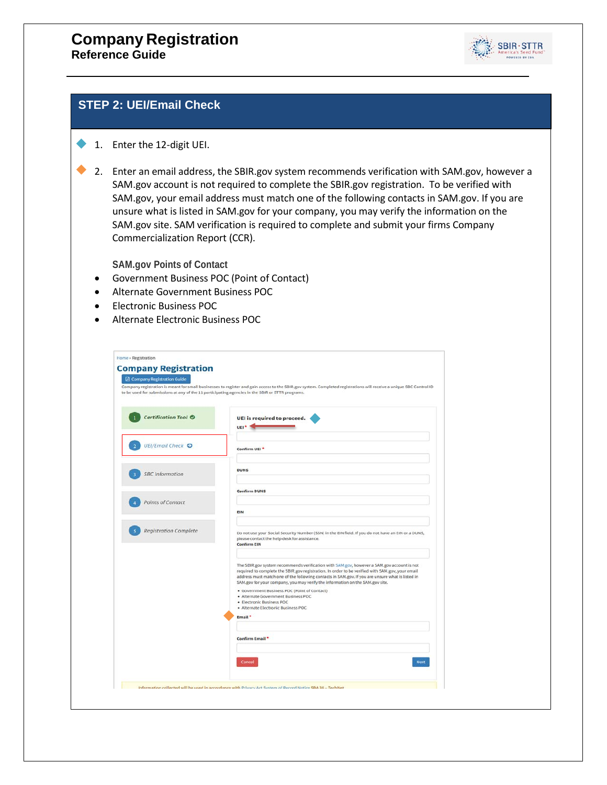

#### **STEP 2: UEI/Email Check**

#### 1. Enter the 12-digit UEI.

2. Enter an email address, the SBIR.gov system recommends verification with SAM.gov, however a SAM.gov account is not required to complete the SBIR.gov registration. To be verified with SAM.gov, your email address must match one of the following contacts in SAM.gov. If you are unsure what is listed in SAM.gov for your company, you may verify the information on the SAM.gov site. SAM verification is required to complete and submit your firms Company Commercialization Report (CCR).

**SAM.gov Points of Contact**

- Government Business POC (Point of Contact)
- Alternate Government Business POC
- Electronic Business POC
- Alternate Electronic Business POC

| to be used for submissions at any of the 11 participating agencies in the SBIR or STTR programs. | Company registration is meant for small businesses to register and gain access to the SBIR.gov system. Completed registrations will receive a unique SBC Control ID                                                                                                                                                                     |
|--------------------------------------------------------------------------------------------------|-----------------------------------------------------------------------------------------------------------------------------------------------------------------------------------------------------------------------------------------------------------------------------------------------------------------------------------------|
| <b>Certification Tool O</b>                                                                      | UEI is required to proceed.<br>UEI <sup>+</sup>                                                                                                                                                                                                                                                                                         |
| <b>UEI/Email Check ©</b>                                                                         | Confirm UEI <sup>+</sup>                                                                                                                                                                                                                                                                                                                |
| <b>SBC</b> Information                                                                           | <b>DUNS</b>                                                                                                                                                                                                                                                                                                                             |
| Points of Contact                                                                                | <b>Confirm DUNS</b>                                                                                                                                                                                                                                                                                                                     |
| <b>Registration Complete</b>                                                                     | EIN<br>Do not use your Social Security Number (SSN) in the EIN field. If you do not have an EIN or a DUNS,                                                                                                                                                                                                                              |
|                                                                                                  | please contact the help desk for assistance.<br><b>Confirm EIN</b><br>The SBIR.gov system recommends verification with SAM.gov, however a SAM.gov account is not                                                                                                                                                                        |
|                                                                                                  | required to complete the SBIR, gov registration. In order to be verified with SAM, gov, your email<br>address must match one of the following contacts in SAM.gov. If you are unsure what is listed in<br>SAM.gov for your company, you may verify the information on the SAM.gov site.<br>· Government Business POC (Point of Contact) |
|                                                                                                  | · Alternate Government Business POC<br>· Electronic Business POC<br>· Alternate Electronic Business POC                                                                                                                                                                                                                                 |
|                                                                                                  | Email <sup>*</sup><br><b>Confirm Email</b> *                                                                                                                                                                                                                                                                                            |
|                                                                                                  |                                                                                                                                                                                                                                                                                                                                         |
|                                                                                                  | Cancel<br>Next                                                                                                                                                                                                                                                                                                                          |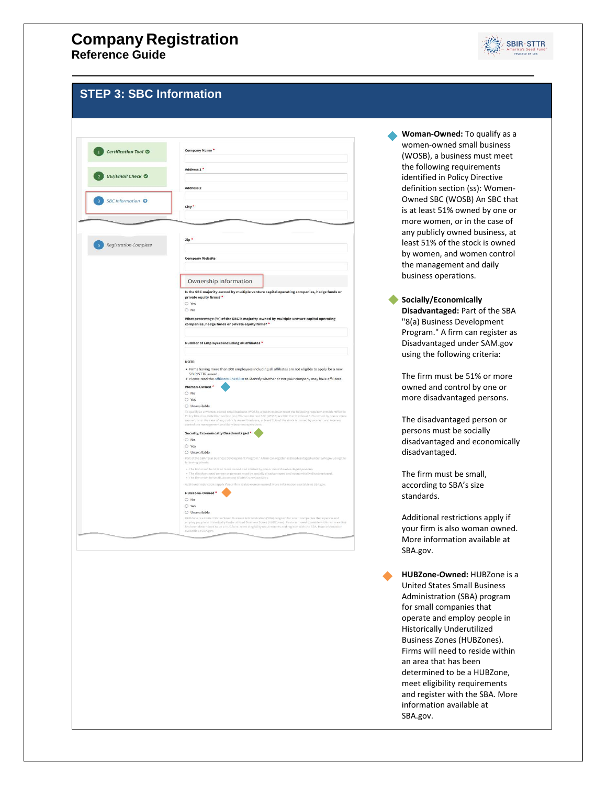

#### **Step STEP 3: SBC Information**

|                                                     | Company Name *                                                                                                                                                                                                                                                                                                                                                          |
|-----------------------------------------------------|-------------------------------------------------------------------------------------------------------------------------------------------------------------------------------------------------------------------------------------------------------------------------------------------------------------------------------------------------------------------------|
| <b>Certification Tool O</b>                         |                                                                                                                                                                                                                                                                                                                                                                         |
|                                                     | Address 1*                                                                                                                                                                                                                                                                                                                                                              |
| <b>UEI/Email Check ©</b>                            |                                                                                                                                                                                                                                                                                                                                                                         |
|                                                     | Address <sub>2</sub>                                                                                                                                                                                                                                                                                                                                                    |
| <b>SBC</b> Information ©<br>$\overline{\mathbf{3}}$ |                                                                                                                                                                                                                                                                                                                                                                         |
|                                                     | City*                                                                                                                                                                                                                                                                                                                                                                   |
|                                                     |                                                                                                                                                                                                                                                                                                                                                                         |
|                                                     |                                                                                                                                                                                                                                                                                                                                                                         |
| <b>Registration Complete</b>                        | Zip <sup>*</sup>                                                                                                                                                                                                                                                                                                                                                        |
|                                                     |                                                                                                                                                                                                                                                                                                                                                                         |
|                                                     | <b>Company Website</b>                                                                                                                                                                                                                                                                                                                                                  |
|                                                     |                                                                                                                                                                                                                                                                                                                                                                         |
|                                                     |                                                                                                                                                                                                                                                                                                                                                                         |
|                                                     | Ownership Information                                                                                                                                                                                                                                                                                                                                                   |
|                                                     | Is the SBC majority-owned by multiple venture capital operating companies, hedge funds or                                                                                                                                                                                                                                                                               |
|                                                     | private equity firms? *<br>O Yes                                                                                                                                                                                                                                                                                                                                        |
|                                                     | $O$ No                                                                                                                                                                                                                                                                                                                                                                  |
|                                                     |                                                                                                                                                                                                                                                                                                                                                                         |
|                                                     | What percentage (%) of the SBC is majority-owned by multiple venture capital operating<br>companies, hedge funds or private equity firms? *                                                                                                                                                                                                                             |
|                                                     | Number of Employees including all affiliates *                                                                                                                                                                                                                                                                                                                          |
|                                                     |                                                                                                                                                                                                                                                                                                                                                                         |
|                                                     | NOTE:                                                                                                                                                                                                                                                                                                                                                                   |
|                                                     | . Firms having more than 500 employees including all affiliates are not eligible to apply for a new<br>SBIR/STTR award.                                                                                                                                                                                                                                                 |
|                                                     | . Please read the Affiliates Checklist to identify whether or not your company may have affiliates.                                                                                                                                                                                                                                                                     |
|                                                     | Woman-Owned<br>O No                                                                                                                                                                                                                                                                                                                                                     |
|                                                     |                                                                                                                                                                                                                                                                                                                                                                         |
|                                                     |                                                                                                                                                                                                                                                                                                                                                                         |
|                                                     | O Yes                                                                                                                                                                                                                                                                                                                                                                   |
|                                                     | O Unavailable<br>women, or in the case of any publicly owned business, at least 51% of the stock is owned by women, and women<br>control the management and daily business operations.                                                                                                                                                                                  |
|                                                     | Socially/Economically Disadvantaged *                                                                                                                                                                                                                                                                                                                                   |
|                                                     | O No                                                                                                                                                                                                                                                                                                                                                                    |
|                                                     | O Yes                                                                                                                                                                                                                                                                                                                                                                   |
|                                                     | O Unavailable                                                                                                                                                                                                                                                                                                                                                           |
|                                                     | following criteria:                                                                                                                                                                                                                                                                                                                                                     |
|                                                     | . The firm must be 51% or more owned and control by one or more disadvantaged persons.<br>· The disadvantaged person or persons must be socially disadvantaged and economically disadvantaged.<br>. The firm must be small, according to SBA's size standards                                                                                                           |
|                                                     | Additional restrictions apply if your firm is also woman owned. More information available at 5BA gov.                                                                                                                                                                                                                                                                  |
|                                                     | HUBZone-Owned*                                                                                                                                                                                                                                                                                                                                                          |
|                                                     | $\bigcirc$ No                                                                                                                                                                                                                                                                                                                                                           |
|                                                     | To qualify as a women-owned small business (WOSB), a business must meet the following requirements identified in<br>Policy Directive definition section (ss): Women-Owned SBC (WOSB) An SBC that is at least 51% owned by one or more.<br>Part of the SBA "8(a) Business Development Program." A firm can register as Disadvantaged under SAM, gov using the<br>$O$ Yes |
|                                                     | O Unavailable<br>HUBZone is a United States Small Business Administration (SBA) program for small companies that operate and                                                                                                                                                                                                                                            |

**Woman-Owned:** To qualify as a women-owned small business (WOSB), a business must meet the following requirements identified in Policy Directive definition section (ss): Women-Owned SBC (WOSB) An SBC that is at least 51% owned by one or more women, or in the case of any publicly owned business, at least 51% of the stock is owned by women, and women control the management and daily business operations.

**Socially/Economically Disadvantaged:** Part of the SBA "8(a) Business Development Program." A firm can register as Disadvantaged under SAM.gov using the following criteria:

The firm must be 51% or more owned and control by one or more disadvantaged persons.

The disadvantaged person or persons must be socially disadvantaged and economically disadvantaged.

The firm must be small, according to SBA's size standards.

Additional restrictions apply if your firm is also woman owned. More information available at SBA.gov.

**HUBZone-Owned:** HUBZone is a United States Small Business Administration (SBA) program for small companies that operate and employ people in Historically Underutilized Business Zones (HUBZones). Firms will need to reside within an area that has been determined to be a HUBZone, meet eligibility requirements and register with the SBA. More information available at SBA.gov.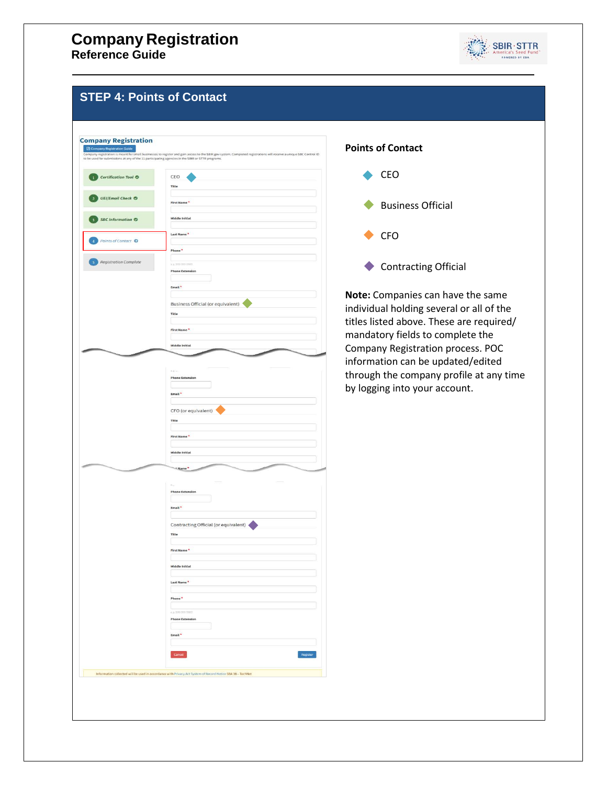

#### **STEP 4: Points of Contact**

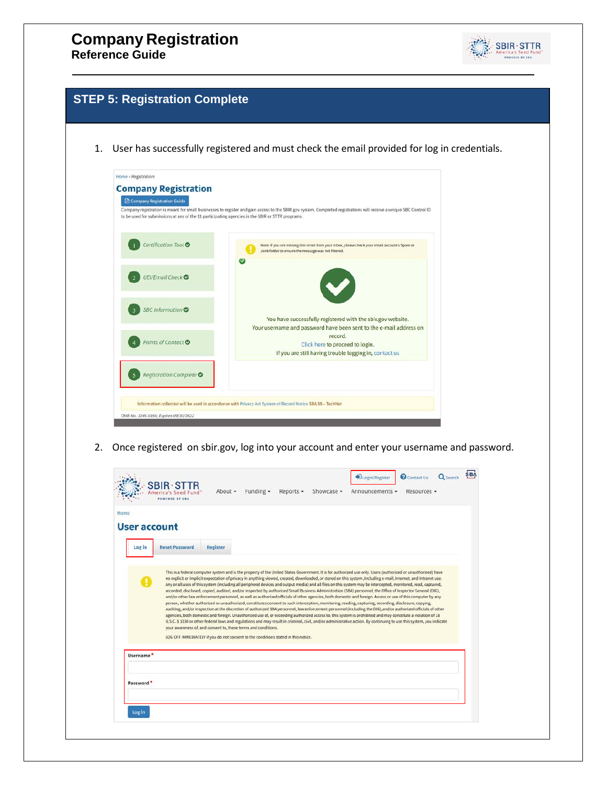

#### **Step 6: Registration Complete STEP 5: Registration Complete**

1. User has successfully registered and must check the email provided for log in credentials.

| to be used for submissions at any of the 11 participating agencies in the SBIR or STTR programs. | Company registration is meant for small businesses to register and gain access to the SBIR.gov system. Completed registrations will receive a unique SBC Control ID |
|--------------------------------------------------------------------------------------------------|---------------------------------------------------------------------------------------------------------------------------------------------------------------------|
| Certification Tool <sup>O</sup>                                                                  | Note: If you are missing this email from your inbox, please check your email account's Spam or<br>Junk folder to ensure the message was not filtered.               |
| UEI/Email Check ◎                                                                                | $\overline{\smash[b]{\smash[b]{\mathbf{v}}}}$                                                                                                                       |
| SBC Information <sup>®</sup>                                                                     | You have successfully registered with the sbir.gov website.<br>Your username and password have been sent to the e-mail address on                                   |
| Points of Contact <sup>o</sup>                                                                   | record.<br>Click here to proceed to login.<br>If you are still having trouble logging in, contact us                                                                |
| <b>Registration Complete ●</b>                                                                   |                                                                                                                                                                     |

2. Once registered on sbir.gov, log into your account and enter your username and password.

| User account          |                       |                                                                                                                                                      |  |                                                                                                                                                                                                                                                                                                                                                                                                                                                                                                                                                                                                                                                                                                                                                                                                                                                                                                                                                                                                                                                                                                                                                          |                                                                                                                                                                     |  |
|-----------------------|-----------------------|------------------------------------------------------------------------------------------------------------------------------------------------------|--|----------------------------------------------------------------------------------------------------------------------------------------------------------------------------------------------------------------------------------------------------------------------------------------------------------------------------------------------------------------------------------------------------------------------------------------------------------------------------------------------------------------------------------------------------------------------------------------------------------------------------------------------------------------------------------------------------------------------------------------------------------------------------------------------------------------------------------------------------------------------------------------------------------------------------------------------------------------------------------------------------------------------------------------------------------------------------------------------------------------------------------------------------------|---------------------------------------------------------------------------------------------------------------------------------------------------------------------|--|
| Log in                | <b>Reset Password</b> | Register                                                                                                                                             |  |                                                                                                                                                                                                                                                                                                                                                                                                                                                                                                                                                                                                                                                                                                                                                                                                                                                                                                                                                                                                                                                                                                                                                          |                                                                                                                                                                     |  |
| Username <sup>*</sup> |                       | your awareness of, and consent to, these terms and conditions.<br>LOG OFF IMMEDIATELY if you do not consent to the conditions stated in this notice. |  | no explicit or implicit expectation of privacy in anything viewed, created, downloaded, or stored on this system ,Including e-mail, Internet, and Intranet use.<br>Any or all uses of this system (including all peripheral devices and output media) and all files on this system may be intercepted, monitored, read, captured,<br>recorded, disclosed, copied, audited, and/or inspected by authorized Small Business Administration (SBA) personnel, the Office of Inspector General (OIG),<br>and/or other law enforcement personnel, as well as authorized officials of other agencies, both domestic and foreign. Access or use of this computer by any<br>person, whether authorized or unauthorized, constitutes consent to such interception, monitoring, reading, capturing, recording, disclosure, copying,<br>auditing, and/or inspection at the discretion of authorized SBA personnel, law enforcement personnel (including the OIG), and/or authorized officials of other<br>agencies, both domestic and foreign. Unauthorized use of, or exceeding authorized access to, this system is prohibited and may constitute a violation of 18 | U.S.C. § 1030 or other federal laws and regulations and may result in criminal, civil, and/or administrative action. By continuing to use this system, you indicate |  |
|                       |                       |                                                                                                                                                      |  |                                                                                                                                                                                                                                                                                                                                                                                                                                                                                                                                                                                                                                                                                                                                                                                                                                                                                                                                                                                                                                                                                                                                                          |                                                                                                                                                                     |  |
| Password *            |                       |                                                                                                                                                      |  |                                                                                                                                                                                                                                                                                                                                                                                                                                                                                                                                                                                                                                                                                                                                                                                                                                                                                                                                                                                                                                                                                                                                                          |                                                                                                                                                                     |  |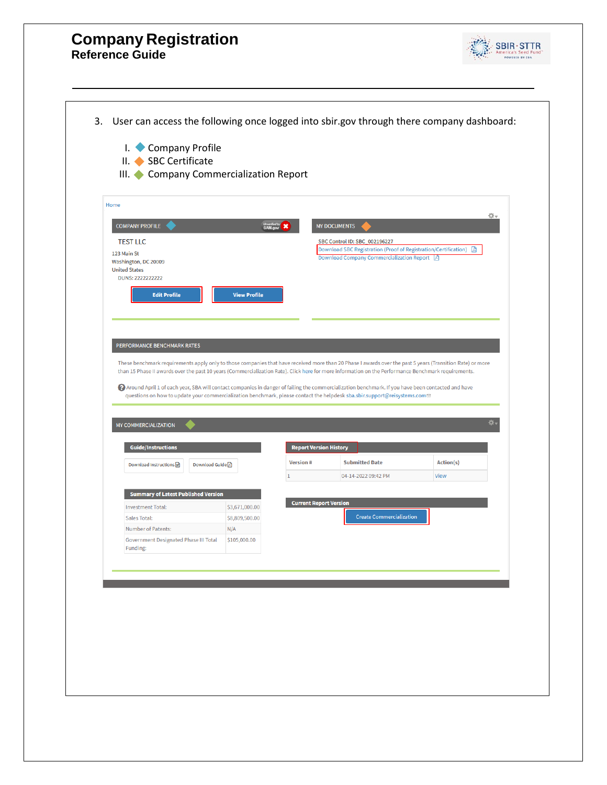

| <b>Edit Profile</b><br><b>View Profile</b><br>PERFORMANCE BENCHMARK RATES<br>These benchmark requirements apply only to those companies that have received more than 20 Phase I awards over the past 5 years (Transition Rate) or more<br>than 15 Phase II awards over the past 10 years (Commercialization Rate). Click here for more information on the Performance Benchmark requirements.<br>2) Around April 1 of each year, SBA will contact companies in danger of failing the commercialization benchmark. If you have been contacted and have<br>questions on how to update your commercialization benchmark, please contact the helpdesk sba.sbir.support@reisystems.com <sup>®</sup><br>츴.<br><b>Guide/Instructions</b><br><b>Report Version History</b><br><b>Submitted Date</b><br>Action(s)<br><b>Version#</b><br>Download Instructions M<br>Download Guide <b>A</b><br>View<br>04-14-2022 09:42 PM<br><b>Summary of Latest Published Version</b><br><b>Current Report Version</b><br><b>Investment Total:</b><br>\$3,671,000.00<br><b>Create Commercialization</b><br>Sales Total:<br>\$8,809,500.00<br>Number of Patents:<br>N/A<br><b>Government Designated Phase III Total</b><br>\$105,000.00<br>Funding: | <b>COMPANY PROFILE</b><br><b>TEST LLC</b><br>123 Main St<br>Washington, DC 20009<br><b>United States</b><br>DUNS: 2222222222 | Universified by <b>X</b> | <b>MY DOCUMENTS</b><br>SBC Control ID: SBC_002196227<br>Download SBC Registration (Proof of Registration/Certification)<br>Download Company Commercialization Report <a>[3]</a> | 奇。<br>固 |
|-----------------------------------------------------------------------------------------------------------------------------------------------------------------------------------------------------------------------------------------------------------------------------------------------------------------------------------------------------------------------------------------------------------------------------------------------------------------------------------------------------------------------------------------------------------------------------------------------------------------------------------------------------------------------------------------------------------------------------------------------------------------------------------------------------------------------------------------------------------------------------------------------------------------------------------------------------------------------------------------------------------------------------------------------------------------------------------------------------------------------------------------------------------------------------------------------------------------------------|------------------------------------------------------------------------------------------------------------------------------|--------------------------|---------------------------------------------------------------------------------------------------------------------------------------------------------------------------------|---------|
|                                                                                                                                                                                                                                                                                                                                                                                                                                                                                                                                                                                                                                                                                                                                                                                                                                                                                                                                                                                                                                                                                                                                                                                                                             |                                                                                                                              |                          |                                                                                                                                                                                 |         |
|                                                                                                                                                                                                                                                                                                                                                                                                                                                                                                                                                                                                                                                                                                                                                                                                                                                                                                                                                                                                                                                                                                                                                                                                                             |                                                                                                                              |                          |                                                                                                                                                                                 |         |
|                                                                                                                                                                                                                                                                                                                                                                                                                                                                                                                                                                                                                                                                                                                                                                                                                                                                                                                                                                                                                                                                                                                                                                                                                             |                                                                                                                              |                          |                                                                                                                                                                                 |         |
|                                                                                                                                                                                                                                                                                                                                                                                                                                                                                                                                                                                                                                                                                                                                                                                                                                                                                                                                                                                                                                                                                                                                                                                                                             |                                                                                                                              |                          |                                                                                                                                                                                 |         |
|                                                                                                                                                                                                                                                                                                                                                                                                                                                                                                                                                                                                                                                                                                                                                                                                                                                                                                                                                                                                                                                                                                                                                                                                                             |                                                                                                                              |                          |                                                                                                                                                                                 |         |
|                                                                                                                                                                                                                                                                                                                                                                                                                                                                                                                                                                                                                                                                                                                                                                                                                                                                                                                                                                                                                                                                                                                                                                                                                             |                                                                                                                              |                          |                                                                                                                                                                                 |         |
|                                                                                                                                                                                                                                                                                                                                                                                                                                                                                                                                                                                                                                                                                                                                                                                                                                                                                                                                                                                                                                                                                                                                                                                                                             | <b>MY COMMERCIALIZATION</b>                                                                                                  |                          |                                                                                                                                                                                 |         |
|                                                                                                                                                                                                                                                                                                                                                                                                                                                                                                                                                                                                                                                                                                                                                                                                                                                                                                                                                                                                                                                                                                                                                                                                                             |                                                                                                                              |                          |                                                                                                                                                                                 |         |
|                                                                                                                                                                                                                                                                                                                                                                                                                                                                                                                                                                                                                                                                                                                                                                                                                                                                                                                                                                                                                                                                                                                                                                                                                             |                                                                                                                              |                          |                                                                                                                                                                                 |         |
|                                                                                                                                                                                                                                                                                                                                                                                                                                                                                                                                                                                                                                                                                                                                                                                                                                                                                                                                                                                                                                                                                                                                                                                                                             |                                                                                                                              |                          |                                                                                                                                                                                 |         |
|                                                                                                                                                                                                                                                                                                                                                                                                                                                                                                                                                                                                                                                                                                                                                                                                                                                                                                                                                                                                                                                                                                                                                                                                                             |                                                                                                                              |                          |                                                                                                                                                                                 |         |
|                                                                                                                                                                                                                                                                                                                                                                                                                                                                                                                                                                                                                                                                                                                                                                                                                                                                                                                                                                                                                                                                                                                                                                                                                             |                                                                                                                              |                          |                                                                                                                                                                                 |         |
|                                                                                                                                                                                                                                                                                                                                                                                                                                                                                                                                                                                                                                                                                                                                                                                                                                                                                                                                                                                                                                                                                                                                                                                                                             |                                                                                                                              |                          |                                                                                                                                                                                 |         |
|                                                                                                                                                                                                                                                                                                                                                                                                                                                                                                                                                                                                                                                                                                                                                                                                                                                                                                                                                                                                                                                                                                                                                                                                                             |                                                                                                                              |                          |                                                                                                                                                                                 |         |
|                                                                                                                                                                                                                                                                                                                                                                                                                                                                                                                                                                                                                                                                                                                                                                                                                                                                                                                                                                                                                                                                                                                                                                                                                             |                                                                                                                              |                          |                                                                                                                                                                                 |         |
|                                                                                                                                                                                                                                                                                                                                                                                                                                                                                                                                                                                                                                                                                                                                                                                                                                                                                                                                                                                                                                                                                                                                                                                                                             |                                                                                                                              |                          |                                                                                                                                                                                 |         |
|                                                                                                                                                                                                                                                                                                                                                                                                                                                                                                                                                                                                                                                                                                                                                                                                                                                                                                                                                                                                                                                                                                                                                                                                                             |                                                                                                                              |                          |                                                                                                                                                                                 |         |
|                                                                                                                                                                                                                                                                                                                                                                                                                                                                                                                                                                                                                                                                                                                                                                                                                                                                                                                                                                                                                                                                                                                                                                                                                             |                                                                                                                              |                          |                                                                                                                                                                                 |         |
|                                                                                                                                                                                                                                                                                                                                                                                                                                                                                                                                                                                                                                                                                                                                                                                                                                                                                                                                                                                                                                                                                                                                                                                                                             |                                                                                                                              |                          |                                                                                                                                                                                 |         |
|                                                                                                                                                                                                                                                                                                                                                                                                                                                                                                                                                                                                                                                                                                                                                                                                                                                                                                                                                                                                                                                                                                                                                                                                                             |                                                                                                                              |                          |                                                                                                                                                                                 |         |
|                                                                                                                                                                                                                                                                                                                                                                                                                                                                                                                                                                                                                                                                                                                                                                                                                                                                                                                                                                                                                                                                                                                                                                                                                             |                                                                                                                              |                          |                                                                                                                                                                                 |         |
|                                                                                                                                                                                                                                                                                                                                                                                                                                                                                                                                                                                                                                                                                                                                                                                                                                                                                                                                                                                                                                                                                                                                                                                                                             |                                                                                                                              |                          |                                                                                                                                                                                 |         |